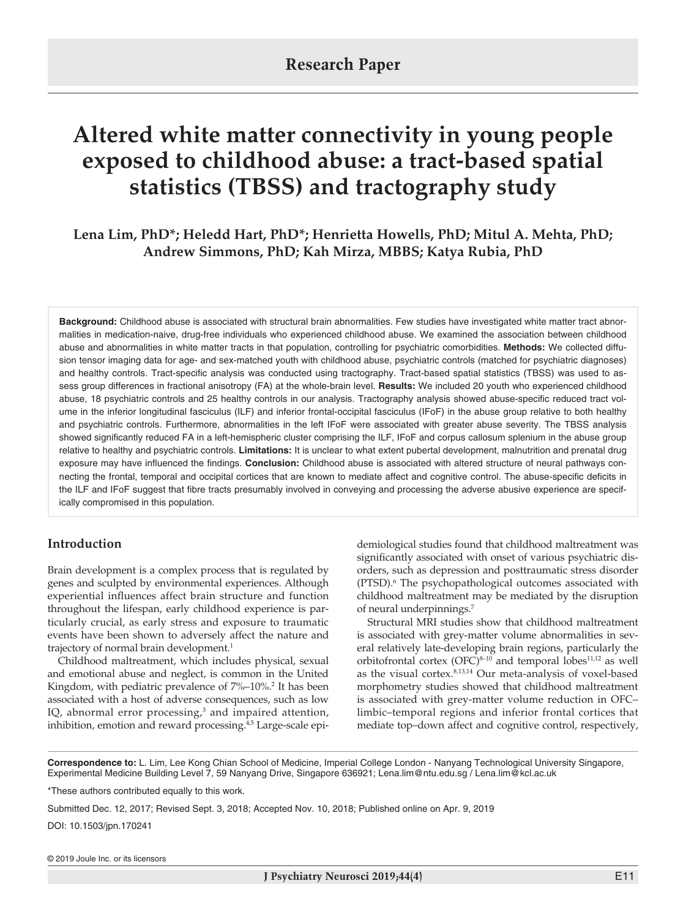# **Altered white matter connectivity in young people exposed to childhood abuse: a tract-based spatial statistics (TBSS) and tractography study**

**Lena Lim, PhD\*; Heledd Hart, PhD\*; Henrietta Howells, PhD; Mitul A. Mehta, PhD; Andrew Simmons, PhD; Kah Mirza, MBBS; Katya Rubia, PhD**

**Background:** Childhood abuse is associated with structural brain abnormalities. Few studies have investigated white matter tract abnormalities in medication-naive, drug-free individuals who experienced childhood abuse. We examined the association between childhood abuse and abnormalities in white matter tracts in that population, controlling for psychiatric comorbidities. **Methods:** We collected diffusion tensor imaging data for age- and sex-matched youth with childhood abuse, psychiatric controls (matched for psychiatric diagnoses) and healthy controls. Tract-specific analysis was conducted using tractography. Tract-based spatial statistics (TBSS) was used to assess group differences in fractional anisotropy (FA) at the whole-brain level. **Results:** We included 20 youth who experienced childhood abuse, 18 psychiatric controls and 25 healthy controls in our analysis. Tractography analysis showed abuse-specific reduced tract volume in the inferior longitudinal fasciculus (ILF) and inferior frontal-occipital fasciculus (IFoF) in the abuse group relative to both healthy and psychiatric controls. Furthermore, abnormalities in the left IFoF were associated with greater abuse severity. The TBSS analysis showed significantly reduced FA in a left-hemispheric cluster comprising the ILF, IFoF and corpus callosum splenium in the abuse group relative to healthy and psychiatric controls. **Limitations:** It is unclear to what extent pubertal development, malnutrition and prenatal drug exposure may have influenced the findings. **Conclusion:** Childhood abuse is associated with altered structure of neural pathways connecting the frontal, temporal and occipital cortices that are known to mediate affect and cognitive control. The abuse-specific deficits in the ILF and IFoF suggest that fibre tracts presumably involved in conveying and processing the adverse abusive experience are specifically compromised in this population.

## **Introduction**

Brain development is a complex process that is regulated by genes and sculpted by environmental experiences. Although experiential influences affect brain structure and function throughout the lifespan, early childhood experience is particularly crucial, as early stress and exposure to traumatic events have been shown to adversely affect the nature and trajectory of normal brain development.<sup>1</sup>

Childhood maltreatment, which includes physical, sexual and emotional abuse and neglect, is common in the United Kingdom, with pediatric prevalence of 7%–10%.<sup>2</sup> It has been associated with a host of adverse consequences, such as low IQ, abnormal error processing,<sup>3</sup> and impaired attention, inhibition, emotion and reward processing.<sup>4,5</sup> Large-scale epidemiological studies found that childhood maltreatment was significantly associated with onset of various psychiatric disorders, such as depression and posttraumatic stress disorder (PTSD).<sup>6</sup> The psychopathological outcomes associated with childhood maltreatment may be mediated by the disruption of neural underpinnings.7

Structural MRI studies show that childhood maltreatment is associated with grey-matter volume abnormalities in several relatively late-developing brain regions, particularly the orbitofrontal cortex  $(OFC)^{8-10}$  and temporal lobes<sup>11,12</sup> as well as the visual cortex.8,13,14 Our meta-analysis of voxel-based morphometry studies showed that childhood maltreatment is associated with grey-matter volume reduction in OFC– limbic–temporal regions and inferior frontal cortices that mediate top–down affect and cognitive control, respectively,

**Correspondence to:** L. Lim, Lee Kong Chian School of Medicine, Imperial College London - Nanyang Technological University Singapore, Experimental Medicine Building Level 7, 59 Nanyang Drive, Singapore 636921; Lena.lim@ntu.edu.sg / Lena.lim@kcl.ac.uk

\*These authors contributed equally to this work.

Submitted Dec. 12, 2017; Revised Sept. 3, 2018; Accepted Nov. 10, 2018; Published online on Apr. 9, 2019

DOI: 10.1503/jpn.170241

© 2019 Joule Inc. or its licensors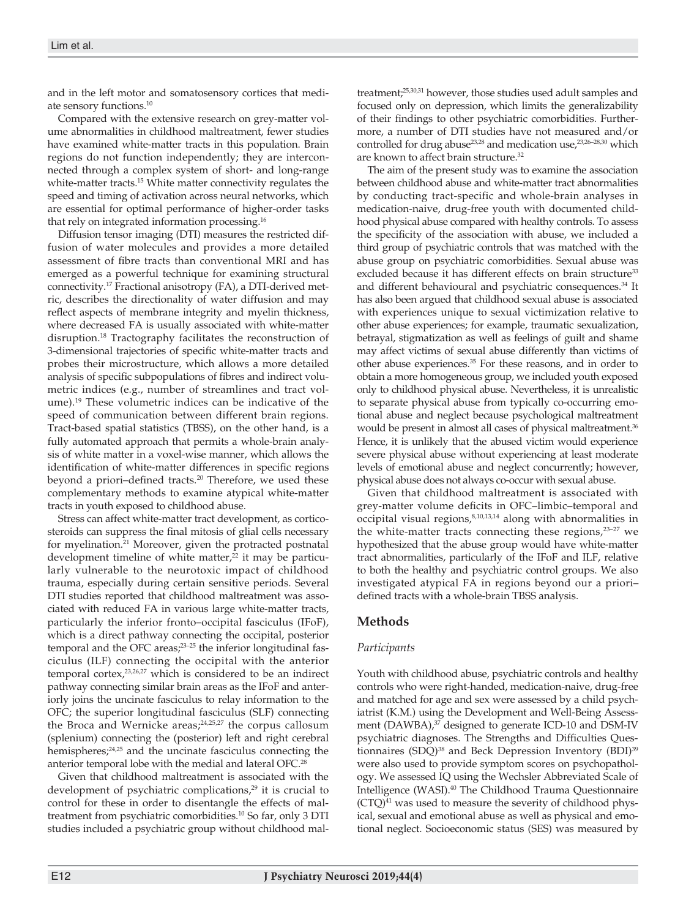and in the left motor and somatosensory cortices that mediate sensory functions.10

Compared with the extensive research on grey-matter volume abnormalities in childhood maltreatment, fewer studies have examined white-matter tracts in this population. Brain regions do not function independently; they are interconnected through a complex system of short- and long-range white-matter tracts.<sup>15</sup> White matter connectivity regulates the speed and timing of activation across neural networks, which are essential for optimal performance of higher-order tasks that rely on integrated information processing.16

Diffusion tensor imaging (DTI) measures the restricted diffusion of water molecules and provides a more detailed assessment of fibre tracts than conventional MRI and has emerged as a powerful technique for examining structural connectivity.17 Fractional anisotropy (FA), a DTI-derived metric, describes the directionality of water diffusion and may reflect aspects of membrane integrity and myelin thickness, where decreased FA is usually associated with white-matter disruption.18 Tractography facilitates the reconstruction of 3-dimensional trajectories of specific white-matter tracts and probes their microstructure, which allows a more detailed analysis of specific subpopulations of fibres and indirect volumetric indices (e.g., number of streamlines and tract volume).19 These volumetric indices can be indicative of the speed of communication between different brain regions. Tract-based spatial statistics (TBSS), on the other hand, is a fully automated approach that permits a whole-brain analysis of white matter in a voxel-wise manner, which allows the identification of white-matter differences in specific regions beyond a priori-defined tracts.<sup>20</sup> Therefore, we used these complementary methods to examine atypical white-matter tracts in youth exposed to childhood abuse.

Stress can affect white-matter tract development, as corticosteroids can suppress the final mitosis of glial cells necessary for myelination.<sup>21</sup> Moreover, given the protracted postnatal development timeline of white matter, $22$  it may be particularly vulnerable to the neurotoxic impact of childhood trauma, especially during certain sensitive periods. Several DTI studies reported that childhood maltreatment was associated with reduced FA in various large white-matter tracts, particularly the inferior fronto–occipital fasciculus (IFoF), which is a direct pathway connecting the occipital, posterior temporal and the OFC areas;<sup>23-25</sup> the inferior longitudinal fasciculus (ILF) connecting the occipital with the anterior temporal cortex,23,26,27 which is considered to be an indirect pathway connecting similar brain areas as the IFoF and anteriorly joins the uncinate fasciculus to relay information to the OFC; the superior longitudinal fasciculus (SLF) connecting the Broca and Wernicke areas; $24,25,27$  the corpus callosum (splenium) connecting the (posterior) left and right cerebral hemispheres;<sup>24,25</sup> and the uncinate fasciculus connecting the anterior temporal lobe with the medial and lateral OFC.<sup>28</sup>

Given that childhood maltreatment is associated with the development of psychiatric complications,<sup>29</sup> it is crucial to control for these in order to disentangle the effects of maltreatment from psychiatric comorbidities.10 So far, only 3 DTI studies included a psychiatric group without childhood maltreatment;25,30,31 however, those studies used adult samples and focused only on depression, which limits the generalizability of their findings to other psychiatric comorbidities. Furthermore, a number of DTI studies have not measured and/or controlled for drug abuse<sup>23,28</sup> and medication use,<sup>23,26-28,30</sup> which are known to affect brain structure.32

The aim of the present study was to examine the association between childhood abuse and white-matter tract abnormalities by conducting tract-specific and whole-brain analyses in medication-naive, drug-free youth with documented childhood physical abuse compared with healthy controls. To assess the specificity of the association with abuse, we included a third group of psychiatric controls that was matched with the abuse group on psychiatric comorbidities. Sexual abuse was excluded because it has different effects on brain structure<sup>33</sup> and different behavioural and psychiatric consequences.<sup>34</sup> It has also been argued that childhood sexual abuse is associated with experiences unique to sexual victimization relative to other abuse experiences; for example, traumatic sexualization, betrayal, stigmatization as well as feelings of guilt and shame may affect victims of sexual abuse differently than victims of other abuse experiences.35 For these reasons, and in order to obtain a more homogeneous group, we included youth exposed only to childhood physical abuse. Nevertheless, it is unrealistic to separate physical abuse from typically co-occurring emotional abuse and neglect because psychological maltreatment would be present in almost all cases of physical maltreatment.<sup>36</sup> Hence, it is unlikely that the abused victim would experience severe physical abuse without experiencing at least moderate levels of emotional abuse and neglect concurrently; however, physical abuse does not always co-occur with sexual abuse.

Given that childhood maltreatment is associated with grey-matter volume deficits in OFC–limbic–temporal and  $\overline{\text{occipital}}$  visual regions, $8,10,13,14$  along with abnormalities in the white-matter tracts connecting these regions, $23-27$  we hypothesized that the abuse group would have white-matter tract abnormalities, particularly of the IFoF and ILF, relative to both the healthy and psychiatric control groups. We also investigated atypical FA in regions beyond our a priori– defined tracts with a whole-brain TBSS analysis.

## **Methods**

## *Participants*

Youth with childhood abuse, psychiatric controls and healthy controls who were right-handed, medication-naive, drug-free and matched for age and sex were assessed by a child psychiatrist (K.M.) using the Development and Well-Being Assessment (DAWBA),<sup>37</sup> designed to generate ICD-10 and DSM-IV psychiatric diagnoses. The Strengths and Difficulties Questionnaires (SDQ)<sup>38</sup> and Beck Depression Inventory (BDI)<sup>39</sup> were also used to provide symptom scores on psychopathology. We assessed IQ using the Wechsler Abbreviated Scale of Intelligence (WASI).40 The Childhood Trauma Questionnaire  $(CTQ)^{41}$  was used to measure the severity of childhood physical, sexual and emotional abuse as well as physical and emotional neglect. Socioeconomic status (SES) was measured by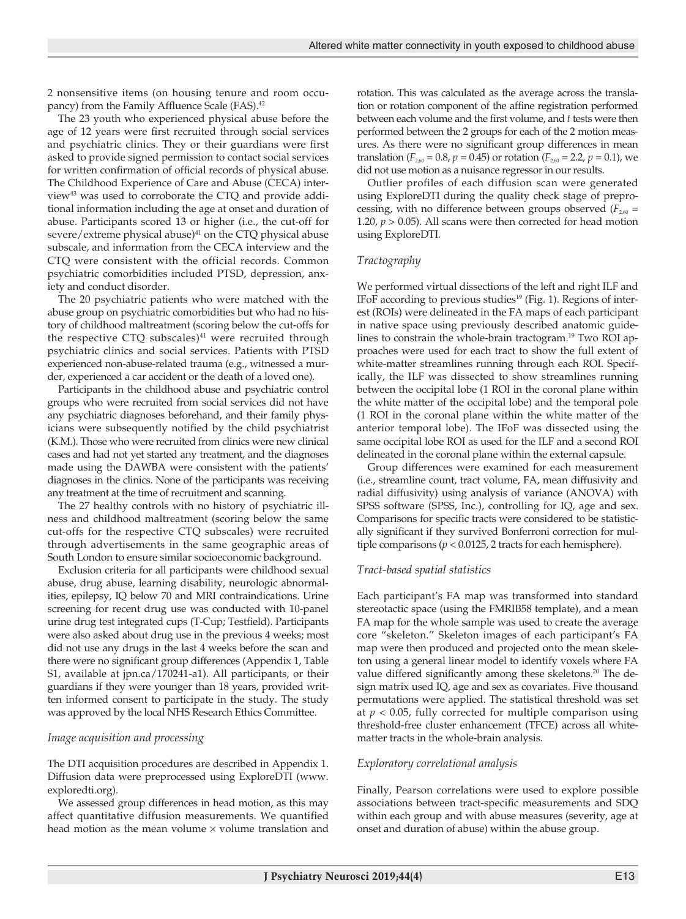2 nonsensitive items (on housing tenure and room occupancy) from the Family Affluence Scale (FAS).<sup>42</sup>

The 23 youth who experienced physical abuse before the age of 12 years were first recruited through social services and psychiatric clinics. They or their guardians were first asked to provide signed permission to contact social services for written confirmation of official records of physical abuse. The Childhood Experience of Care and Abuse (CECA) interview43 was used to corroborate the CTQ and provide additional information including the age at onset and duration of abuse. Participants scored 13 or higher (i.e., the cut-off for severe/extreme physical abuse)<sup>41</sup> on the CTQ physical abuse subscale, and information from the CECA interview and the CTQ were consistent with the official records. Common psychiatric comorbidities included PTSD, depression, anxiety and conduct disorder.

The 20 psychiatric patients who were matched with the abuse group on psychiatric comorbidities but who had no history of childhood maltreatment (scoring below the cut-offs for the respective CTQ subscales) $41$  were recruited through psychiatric clinics and social services. Patients with PTSD experienced non-abuse-related trauma (e.g., witnessed a murder, experienced a car accident or the death of a loved one).

Participants in the childhood abuse and psychiatric control groups who were recruited from social services did not have any psychiatric diagnoses beforehand, and their family physicians were subsequently notified by the child psychiatrist (K.M.). Those who were recruited from clinics were new clinical cases and had not yet started any treatment, and the diagnoses made using the DAWBA were consistent with the patients' diagnoses in the clinics. None of the participants was receiving any treatment at the time of recruitment and scanning.

The 27 healthy controls with no history of psychiatric illness and childhood maltreatment (scoring below the same cut-offs for the respective CTQ subscales) were recruited through advertisements in the same geographic areas of South London to ensure similar socioeconomic background.

Exclusion criteria for all participants were childhood sexual abuse, drug abuse, learning disability, neurologic abnormalities, epilepsy, IQ below 70 and MRI contraindications. Urine screening for recent drug use was conducted with 10-panel urine drug test integrated cups (T-Cup; Testfield). Participants were also asked about drug use in the previous 4 weeks; most did not use any drugs in the last 4 weeks before the scan and there were no significant group differences (Appendix 1, Table S1, available at jpn.ca/170241-a1). All participants, or their guardians if they were younger than 18 years, provided written informed consent to participate in the study. The study was approved by the local NHS Research Ethics Committee.

### *Image acquisition and processing*

The DTI acquisition procedures are described in Appendix 1. Diffusion data were preprocessed using ExploreDTI (www. exploredti.org).

We assessed group differences in head motion, as this may affect quantitative diffusion measurements. We quantified head motion as the mean volume  $\times$  volume translation and

rotation. This was calculated as the average across the translation or rotation component of the affine registration performed between each volume and the first volume, and *t* tests were then performed between the 2 groups for each of the 2 motion measures. As there were no significant group differences in mean translation ( $F_{2,60} = 0.8$ ,  $p = 0.45$ ) or rotation ( $F_{2,60} = 2.2$ ,  $p = 0.1$ ), we did not use motion as a nuisance regressor in our results.

Outlier profiles of each diffusion scan were generated using ExploreDTI during the quality check stage of preprocessing, with no difference between groups observed  $(F_{2,60} =$ 1.20,  $p > 0.05$ ). All scans were then corrected for head motion using ExploreDTI.

#### *Tractography*

We performed virtual dissections of the left and right ILF and IFoF according to previous studies<sup>19</sup> (Fig. 1). Regions of interest (ROIs) were delineated in the FA maps of each participant in native space using previously described anatomic guidelines to constrain the whole-brain tractogram.19 Two ROI approaches were used for each tract to show the full extent of white-matter streamlines running through each ROI. Specifically, the ILF was dissected to show streamlines running between the occipital lobe (1 ROI in the coronal plane within the white matter of the occipital lobe) and the temporal pole (1 ROI in the coronal plane within the white matter of the anterior temporal lobe). The IFoF was dissected using the same occipital lobe ROI as used for the ILF and a second ROI delineated in the coronal plane within the external capsule.

Group differences were examined for each measurement (i.e., streamline count, tract volume, FA, mean diffusivity and radial diffusivity) using analysis of variance (ANOVA) with SPSS software (SPSS, Inc.), controlling for IQ, age and sex. Comparisons for specific tracts were considered to be statistically significant if they survived Bonferroni correction for multiple comparisons ( $p < 0.0125$ , 2 tracts for each hemisphere).

#### *Tract-based spatial statistics*

Each participant's FA map was transformed into standard stereotactic space (using the FMRIB58 template), and a mean FA map for the whole sample was used to create the average core "skeleton." Skeleton images of each participant's FA map were then produced and projected onto the mean skeleton using a general linear model to identify voxels where FA value differed significantly among these skeletons.<sup>20</sup> The design matrix used IQ, age and sex as covariates. Five thousand permutations were applied. The statistical threshold was set at  $p < 0.05$ , fully corrected for multiple comparison using threshold-free cluster enhancement (TFCE) across all whitematter tracts in the whole-brain analysis.

#### *Exploratory correlational analysis*

Finally, Pearson correlations were used to explore possible associations between tract-specific measurements and SDQ within each group and with abuse measures (severity, age at onset and duration of abuse) within the abuse group.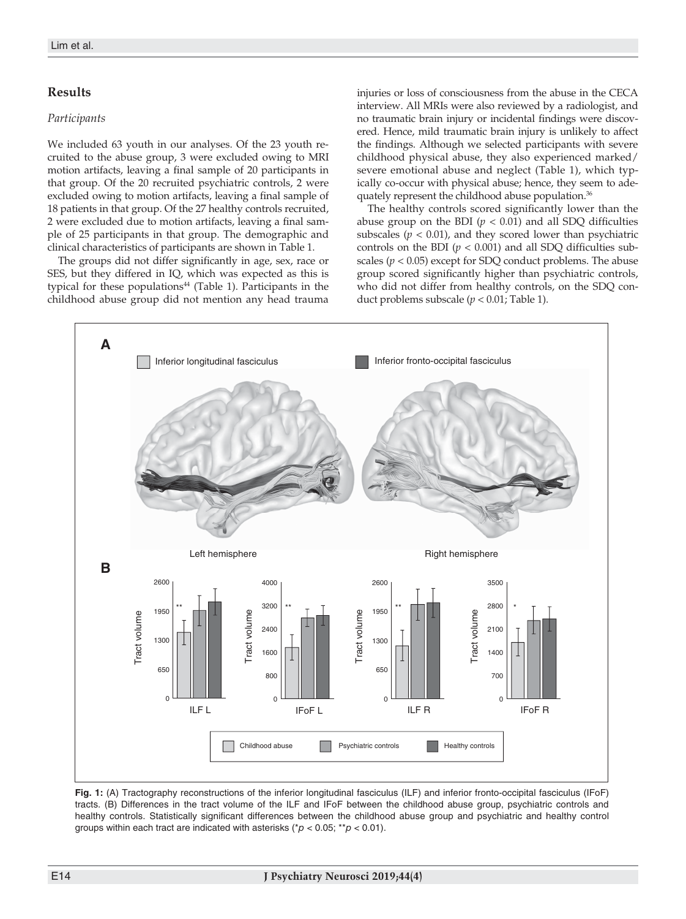## **Results**

#### *Participants*

We included 63 youth in our analyses. Of the 23 youth recruited to the abuse group, 3 were excluded owing to MRI motion artifacts, leaving a final sample of 20 participants in that group. Of the 20 recruited psychiatric controls, 2 were excluded owing to motion artifacts, leaving a final sample of 18 patients in that group. Of the 27 healthy controls recruited, 2 were excluded due to motion artifacts, leaving a final sample of 25 participants in that group. The demographic and clinical characteristics of participants are shown in Table 1.

The groups did not differ significantly in age, sex, race or SES, but they differed in IQ, which was expected as this is typical for these populations<sup>44</sup> (Table 1). Participants in the childhood abuse group did not mention any head trauma injuries or loss of consciousness from the abuse in the CECA interview. All MRIs were also reviewed by a radiologist, and no traumatic brain injury or incidental findings were discovered. Hence, mild traumatic brain injury is unlikely to affect the findings. Although we selected participants with severe childhood physical abuse, they also experienced marked/ severe emotional abuse and neglect (Table 1), which typically co-occur with physical abuse; hence, they seem to adequately represent the childhood abuse population.36

The healthy controls scored significantly lower than the abuse group on the BDI  $(p < 0.01)$  and all SDQ difficulties subscales  $(p < 0.01)$ , and they scored lower than psychiatric controls on the BDI  $(p < 0.001)$  and all SDQ difficulties subscales (*p* < 0.05) except for SDQ conduct problems. The abuse group scored significantly higher than psychiatric controls, who did not differ from healthy controls, on the SDQ conduct problems subscale (*p* < 0.01; Table 1).



**Fig. 1:** (A) Tractography reconstructions of the inferior longitudinal fasciculus (ILF) and inferior fronto-occipital fasciculus (IFoF) tracts. (B) Differences in the tract volume of the ILF and IFoF between the childhood abuse group, psychiatric controls and healthy controls. Statistically significant differences between the childhood abuse group and psychiatric and healthy control groups within each tract are indicated with asterisks (\**p* < 0.05; \*\**p* < 0.01).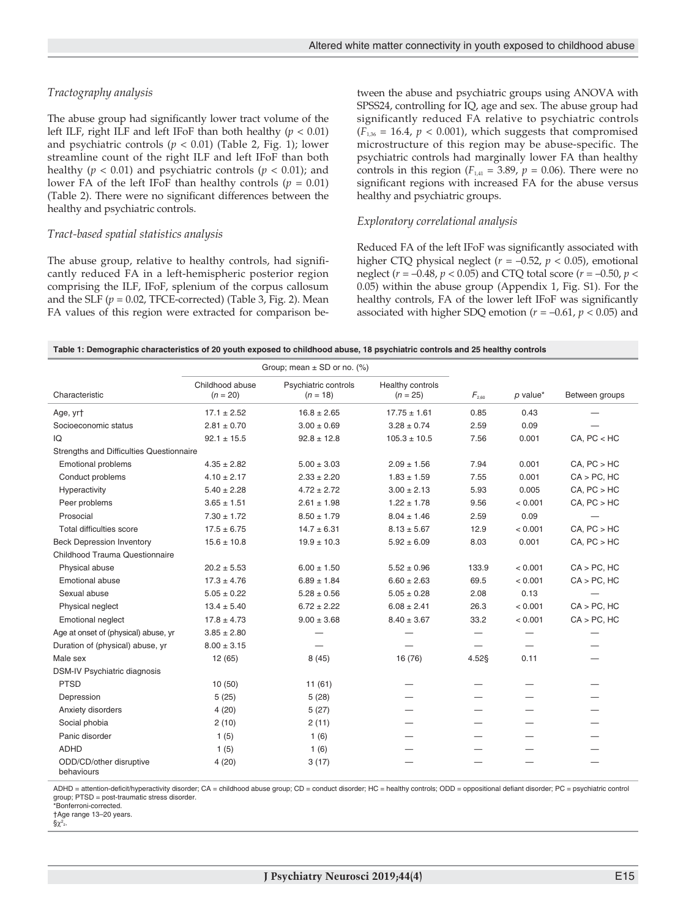## *Tractography analysis*

The abuse group had significantly lower tract volume of the left ILF, right ILF and left IFoF than both healthy (*p* < 0.01) and psychiatric controls  $(p < 0.01)$  (Table 2, Fig. 1); lower streamline count of the right ILF and left IFoF than both healthy (*p* < 0.01) and psychiatric controls (*p* < 0.01); and lower FA of the left IFoF than healthy controls ( $p = 0.01$ ) (Table 2). There were no significant differences between the healthy and psychiatric controls.

#### *Tract-based spatial statistics analysis*

The abuse group, relative to healthy controls, had significantly reduced FA in a left-hemispheric posterior region comprising the ILF, IFoF, splenium of the corpus callosum and the SLF  $(p = 0.02, TFCE-corrected)$  (Table 3, Fig. 2). Mean FA values of this region were extracted for comparison between the abuse and psychiatric groups using ANOVA with SPSS24, controlling for IQ, age and sex. The abuse group had significantly reduced FA relative to psychiatric controls  $(F<sub>1,36</sub> = 16.4, p < 0.001)$ , which suggests that compromised microstructure of this region may be abuse-specific. The psychiatric controls had marginally lower FA than healthy controls in this region ( $F_{1,41} = 3.89$ ,  $p = 0.06$ ). There were no significant regions with increased FA for the abuse versus healthy and psychiatric groups.

#### *Exploratory correlational analysis*

Reduced FA of the left IFoF was significantly associated with higher CTQ physical neglect (*r* = –0.52, *p* < 0.05), emotional neglect (*r* = –0.48, *p* < 0.05) and CTQ total score (*r* = –0.50, *p* < 0.05) within the abuse group (Appendix 1, Fig. S1). For the healthy controls, FA of the lower left IFoF was significantly associated with higher SDQ emotion (*r* = –0.61, *p* < 0.05) and

| Table 1: Demographic characteristics of 20 youth exposed to childhood abuse, 18 psychiatric controls and 25 healthy controls |  |  |  |
|------------------------------------------------------------------------------------------------------------------------------|--|--|--|
|------------------------------------------------------------------------------------------------------------------------------|--|--|--|

|                                          |                               | Group; mean $\pm$ SD or no. (%)    |                                |            |            |                  |
|------------------------------------------|-------------------------------|------------------------------------|--------------------------------|------------|------------|------------------|
| Characteristic                           | Childhood abuse<br>$(n = 20)$ | Psychiatric controls<br>$(n = 18)$ | Healthy controls<br>$(n = 25)$ | $F_{2.60}$ | $p$ value* | Between groups   |
| Age, yrt                                 | $17.1 \pm 2.52$               | $16.8 \pm 2.65$                    | $17.75 \pm 1.61$               | 0.85       | 0.43       |                  |
| Socioeconomic status                     | $2.81 \pm 0.70$               | $3.00 \pm 0.69$                    | $3.28 \pm 0.74$                | 2.59       | 0.09       |                  |
| IQ                                       | $92.1 \pm 15.5$               | $92.8 \pm 12.8$                    | $105.3 \pm 10.5$               | 7.56       | 0.001      | CA, PC < HC      |
| Strengths and Difficulties Questionnaire |                               |                                    |                                |            |            |                  |
| <b>Emotional problems</b>                | $4.35 \pm 2.82$               | $5.00 \pm 3.03$                    | $2.09 \pm 1.56$                | 7.94       | 0.001      | CA, PC > HC      |
| Conduct problems                         | $4.10 \pm 2.17$               | $2.33 \pm 2.20$                    | $1.83 \pm 1.59$                | 7.55       | 0.001      | $CA > PC$ , $HC$ |
| Hyperactivity                            | $5.40 \pm 2.28$               | $4.72 \pm 2.72$                    | $3.00 \pm 2.13$                | 5.93       | 0.005      | CA, PC > HC      |
| Peer problems                            | $3.65 \pm 1.51$               | $2.61 \pm 1.98$                    | $1.22 \pm 1.78$                | 9.56       | < 0.001    | CA, PC > HC      |
| Prosocial                                | $7.30 \pm 1.72$               | $8.50 \pm 1.79$                    | $8.04 \pm 1.46$                | 2.59       | 0.09       |                  |
| Total difficulties score                 | $17.5 \pm 6.75$               | $14.7 \pm 6.31$                    | $8.13 \pm 5.67$                | 12.9       | < 0.001    | CA, PC > HC      |
| <b>Beck Depression Inventory</b>         | $15.6 \pm 10.8$               | $19.9 \pm 10.3$                    | $5.92 \pm 6.09$                | 8.03       | 0.001      | CA, PC > HC      |
| Childhood Trauma Questionnaire           |                               |                                    |                                |            |            |                  |
| Physical abuse                           | $20.2 \pm 5.53$               | $6.00 \pm 1.50$                    | $5.52 \pm 0.96$                | 133.9      | < 0.001    | $CA > PC$ , $HC$ |
| <b>Emotional abuse</b>                   | $17.3 \pm 4.76$               | $6.89 \pm 1.84$                    | $6.60 \pm 2.63$                | 69.5       | < 0.001    | $CA > PC$ , $HC$ |
| Sexual abuse                             | $5.05 \pm 0.22$               | $5.28 \pm 0.56$                    | $5.05 \pm 0.28$                | 2.08       | 0.13       |                  |
| Physical neglect                         | $13.4 \pm 5.40$               | $6.72 \pm 2.22$                    | $6.08 \pm 2.41$                | 26.3       | < 0.001    | $CA > PC$ , $HC$ |
| <b>Emotional neglect</b>                 | $17.8 \pm 4.73$               | $9.00 \pm 3.68$                    | $8.40 \pm 3.67$                | 33.2       | < 0.001    | $CA > PC$ , $HC$ |
| Age at onset of (physical) abuse, yr     | $3.85 \pm 2.80$               |                                    |                                |            |            |                  |
| Duration of (physical) abuse, yr         | $8.00 \pm 3.15$               |                                    |                                |            |            |                  |
| Male sex                                 | 12 (65)                       | 8(45)                              | 16 (76)                        | 4.52§      | 0.11       |                  |
| DSM-IV Psychiatric diagnosis             |                               |                                    |                                |            |            |                  |
| <b>PTSD</b>                              | 10(50)                        | 11(61)                             |                                |            |            |                  |
| Depression                               | 5(25)                         | 5(28)                              |                                |            |            |                  |
| Anxiety disorders                        | 4(20)                         | 5(27)                              |                                |            |            |                  |
| Social phobia                            | 2(10)                         | 2(11)                              |                                |            |            |                  |
| Panic disorder                           | 1(5)                          | 1(6)                               |                                |            |            |                  |
| <b>ADHD</b>                              | 1(5)                          | 1(6)                               |                                |            |            |                  |
| ODD/CD/other disruptive<br>behaviours    | 4(20)                         | 3(17)                              |                                |            |            |                  |

ADHD = attention-deficit/hyperactivity disorder; CA = childhood abuse group; CD = conduct disorder; HC = healthy controls; ODD = oppositional defiant disorder; PC = psychiatric control group; PTSD = post-traumatic stress disorder. \*Bonferroni-corrected.

†Age range 13–20 years.

 $\Schi^2$ <sub>2</sub>.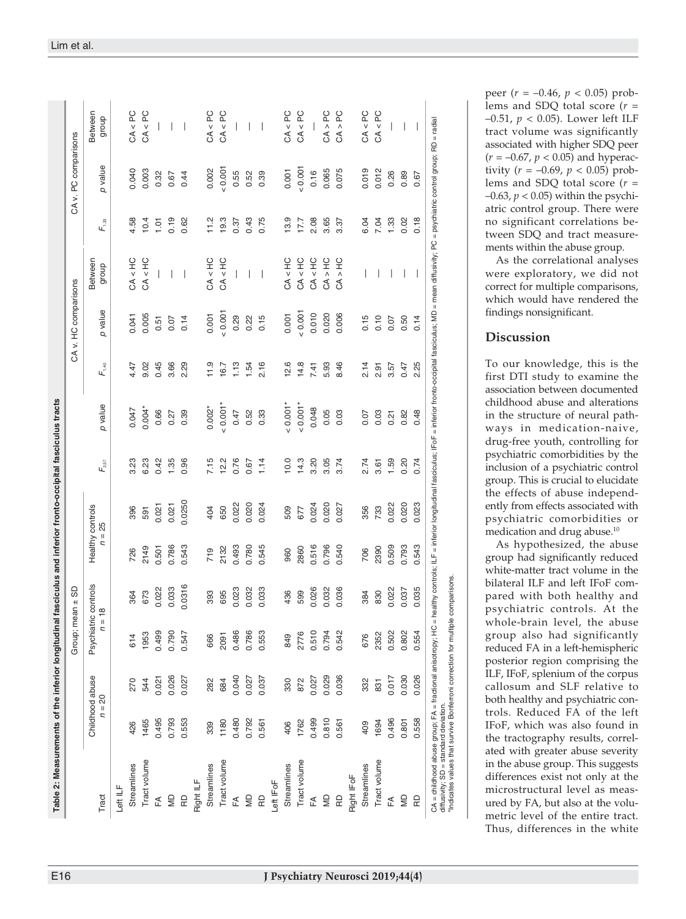|               |                             |       |                                  | $Group; mean \pm SD$ |                              |        |                                        |          |            | CA v. HC comparisons |                          |            | CA v. PC comparisons |                          |
|---------------|-----------------------------|-------|----------------------------------|----------------------|------------------------------|--------|----------------------------------------|----------|------------|----------------------|--------------------------|------------|----------------------|--------------------------|
| Tract         | Childhood abuse<br>$n = 20$ |       | Psychiatric controls<br>$n = 18$ |                      | Healthy controls<br>$n = 25$ |        | $\mathsf{F}_{\scriptscriptstyle 2.57}$ | p value  | $F_{1,40}$ | p value              | Between<br>dionb         | $F_{1,33}$ | p value              | Between<br>dhoub         |
| Left ILF      |                             |       |                                  |                      |                              |        |                                        |          |            |                      |                          |            |                      |                          |
| Streamlines   | 426                         | 270   | 614                              | 364                  | 726                          | 396    | 3.23                                   | 0.047    | 4.47       | 0.041                | CA < HC                  | 4.58       | 0.040                | CA < PC                  |
| Tract volume  | 1465                        | 544   | 1953                             | 673                  | 2149                         | 591    | 6.23                                   | $0.004*$ | 9.02       | 0.005                | CA < HC                  | 10.4       | 0.003                | CA < PC                  |
| £             | 0.495                       | 0.021 | 0.499                            | 0.022                | 0.501                        | 0.021  | 0.42                                   | 0.66     | 0.45       | 0.51                 |                          | 1.01       | 0.32                 |                          |
| QM            | 0.793                       | 0.026 | 0.790                            | 0.033                | 0.786                        | 0.021  | 1.35                                   | 0.27     | 3.66       | 0.07                 |                          | 0.19       | 0.67                 |                          |
| œ             | 0.553                       | 0.027 | 0.547                            | 0.0316               | 0.543                        | 0.0250 | 0.96                                   | 0.39     | 2.29       | 0.14                 | $\overline{\phantom{a}}$ | 0.62       | 0.44                 | $\overline{\phantom{a}}$ |
| Right ILF     |                             |       |                                  |                      |                              |        |                                        |          |            |                      |                          |            |                      |                          |
| Streamlines   | 339                         | 282   | 666                              | 393                  | 719                          | 404    | 7.15                                   | $0.002*$ | 11.9       | 0.001                | CA < HC                  | 11.2       | 0.002                | CA < PC                  |
| Tract volume  | 1180                        | 684   | 2091                             | 695                  | 2132                         | 650    | 12.2                                   | $0.001*$ | 16.7       | 0.001                | CA < HC                  | 19.3       | 0.001                | CA < PC                  |
| FA            | 0.480                       | 0.040 | 0.486                            | 0.023                | 0.493                        | 0.022  | 0.76                                   | 0.47     | 1.13       | 0.29                 | $\overline{1}$           | 0.37       | 0.55                 | $\overline{1}$           |
| $\frac{1}{2}$ | 0.792                       | 0.027 | 0.786                            | 0.032                | 0.780                        | 0.020  | 0.67                                   | 0.52     | 1.54       | 0.22                 | 1                        | 0.43       | 0.52                 |                          |
| $\Omega$      | 0.561                       | 0.037 | 0.553                            | 0.033                | 0.545                        | 0.024  | 1.14                                   | 0.33     | 2.16       | 0.15                 | $\overline{\phantom{a}}$ | 0.75       | 0.39                 | $\overline{\phantom{a}}$ |
| Left IFoF     |                             |       |                                  |                      |                              |        |                                        |          |            |                      |                          |            |                      |                          |
| Streamlines   | 406                         | 330   | 849                              | 436                  | 960                          | 509    | 10.0                                   | $0.001*$ | 12.6       | 0.001                | CA < HC                  | 13.9       | 0.001                | CA < PC                  |
| Tract volume  | 1762                        | 872   | 2776                             | 599                  | 2860                         | 677    | 14.3                                   | $0.001*$ | 14.8       | 0.001                | CA < HC                  | 17.7       | 0.001                | CA < PC                  |
| FÃ            | 0.499                       | 0.027 | 0.510                            | 0.026                | 0.516                        | 0.024  | 3.20                                   | 0.048    | 7.41       | 0.010                | CA < HC                  | 2.08       | 0.16                 |                          |
| QM            | 0.810                       | 0.029 | 0.794                            | 0.032                | 0.796                        | 0.020  | 3.05                                   | 0.05     | 5.93       | 0.020                | CA > HC                  | 3.65       | 0.065                | CA > PC                  |
| RD            | 0.561                       | 0.036 | 0.542                            | 0.036                | 0.540                        | 0.027  | 3.74                                   | 0.03     | 8.46       | 0.006                | CA > HC                  | 3.37       | 0.075                | CA > PC                  |
| Right IFoF    |                             |       |                                  |                      |                              |        |                                        |          |            |                      |                          |            |                      |                          |
| Streamlines   | 409                         | 332   | 676                              | 384                  | 706                          | 356    | 2.74                                   | 0.07     | 2.14       | 0.15                 |                          | 6.04       | 0.019                | CA < PC                  |
| Tract volume  | 1694                        | 831   | 2352                             | 830                  | 2390                         | 733    | 3.61                                   | 0.03     | 2.91       | 0.10                 |                          | 7.04       | 0.012                | CA < PC                  |
| FÃ            | 0.496                       | 0.017 | 0.502                            | 0.022                | 0.509                        | 0.022  | 1.59                                   | 0.21     | 3.57       | 0.07                 |                          | 1.33       | 0.26                 | $\overline{\phantom{a}}$ |
| SD            | 0.801                       | 0.030 | 0.802                            | 0.037                | 0.793                        | 0.020  | 0.20                                   | 0.82     | 0.47       | 0.50                 |                          | 0.02       | 0.89                 |                          |
| œ             | 0.558                       | 0.026 | 0.554                            | 0.035                | 0.543                        | 0.023  | 0.74                                   | 0.48     | 2.25       | 0.14                 | $\overline{\phantom{a}}$ | 0.18       | 0.67                 | $\overline{\phantom{a}}$ |

peer ( *r* = –0.46, *p* < 0.05) prob lems and SDQ total score ( *r* = –0.51, *p* < 0.05). Lower left ILF tract volume was significantly associated with higher SDQ peer (*r* = –0.67, *p* < 0.05) and hyperactivity (*r* = –0.69, *p* < 0.05) problems and SDQ total score (*r* = –0.63, *p* < 0.05) within the psychi atric control group. There were no significant correlations be tween SDQ and tract measure ments within the abuse group.

As the correlational analyses were exploratory, we did not correct for multiple comparisons, which would have rendered the findings nonsignificant.

# **Discussion**

To our knowledge, this is the first DTI study to examine the association between documented childhood abuse and alterations in the structure of neural path ways in medication-naive, drug -free youth, controlling for psychiatric comorbidities by the inclusion of a psychiatric control group. This is crucial to elucidate the effects of abuse independently from effects associated with psychiatric comorbidities or medication and drug abuse.10

As hypothesized, the abuse group had significantly reduced white -matter tract volume in the bilateral ILF and left IFoF com pared with both healthy and psychiatric controls. At the whole -brain level, the abuse group also had significantly reduced FA in a left -hemispheric posterior region comprising the ILF, IFoF, splenium of the corpus callosum and SLF relative to both healthy and psychiatric con trols. Reduced FA of the left IFoF, which was also found in the tractography results, correlated with greater abuse severity in the abuse group. This suggests differences exist not only at the microstructural level as measured by FA, but also at the volumetric level of the entire tract. Thus, differences in the white

\*Indicates values that survive Bonferroni correction for multiple comparisons.Indicates values that survive Bonferroni correction for multiple comparisons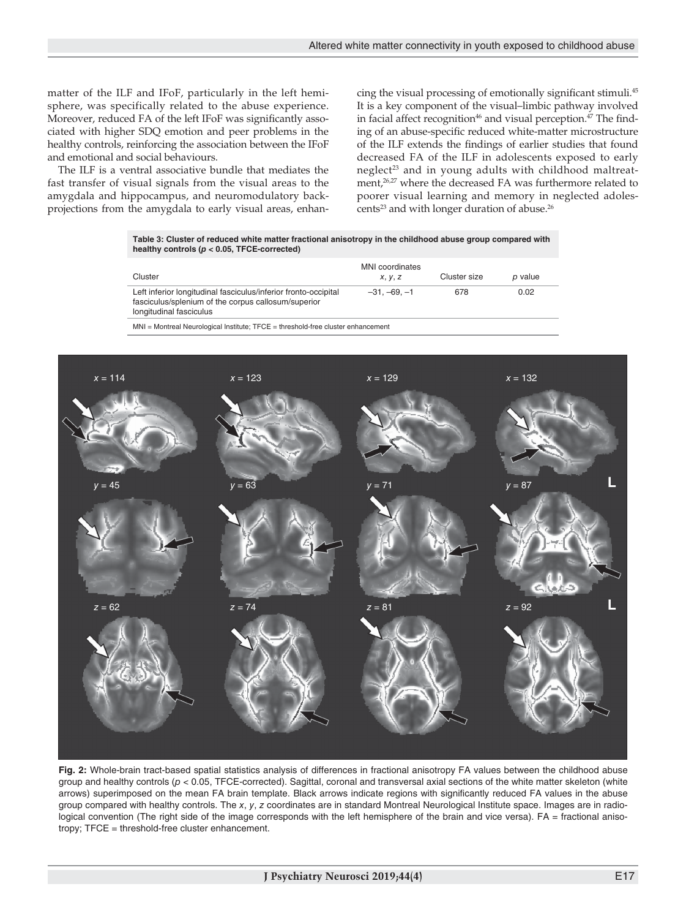matter of the ILF and IFoF, particularly in the left hemisphere, was specifically related to the abuse experience. Moreover, reduced FA of the left IFoF was significantly associated with higher SDQ emotion and peer problems in the healthy controls, reinforcing the association between the IFoF and emotional and social behaviours.

The ILF is a ventral associative bundle that mediates the fast transfer of visual signals from the visual areas to the amygdala and hippocampus, and neuromodulatory backprojections from the amygdala to early visual areas, enhancing the visual processing of emotionally significant stimuli.45 It is a key component of the visual–limbic pathway involved in facial affect recognition<sup>46</sup> and visual perception. $47$  The finding of an abuse-specific reduced white-matter microstructure of the ILF extends the findings of earlier studies that found decreased FA of the ILF in adolescents exposed to early neglect<sup>23</sup> and in young adults with childhood maltreatment,<sup>26,27</sup> where the decreased FA was furthermore related to poorer visual learning and memory in neglected adolescents<sup>23</sup> and with longer duration of abuse.<sup>26</sup>

**Table 3: Cluster of reduced white matter fractional anisotropy in the childhood abuse group compared with healthy controls (***p* **< 0.05, TFCE-corrected)**

| Cluster                                                                                                                                           | MNI coordinates<br><i>x</i> , <i>y</i> , <i>z</i> | Cluster size | p value |
|---------------------------------------------------------------------------------------------------------------------------------------------------|---------------------------------------------------|--------------|---------|
| Left inferior longitudinal fasciculus/inferior fronto-occipital<br>fasciculus/splenium of the corpus callosum/superior<br>longitudinal fasciculus | $-31. -69. -1$                                    | 678          | 0.02    |

MNI = Montreal Neurological Institute; TFCE = threshold-free cluster enhancement



**Fig. 2:** Whole-brain tract-based spatial statistics analysis of differences in fractional anisotropy FA values between the childhood abuse group and healthy controls (*p* < 0.05, TFCE-corrected). Sagittal, coronal and transversal axial sections of the white matter skeleton (white arrows) superimposed on the mean FA brain template. Black arrows indicate regions with significantly reduced FA values in the abuse group compared with healthy controls. The *x*, *y*, *z* coordinates are in standard Montreal Neurological Institute space. Images are in radiological convention (The right side of the image corresponds with the left hemisphere of the brain and vice versa). FA = fractional anisotropy; TFCE = threshold-free cluster enhancement.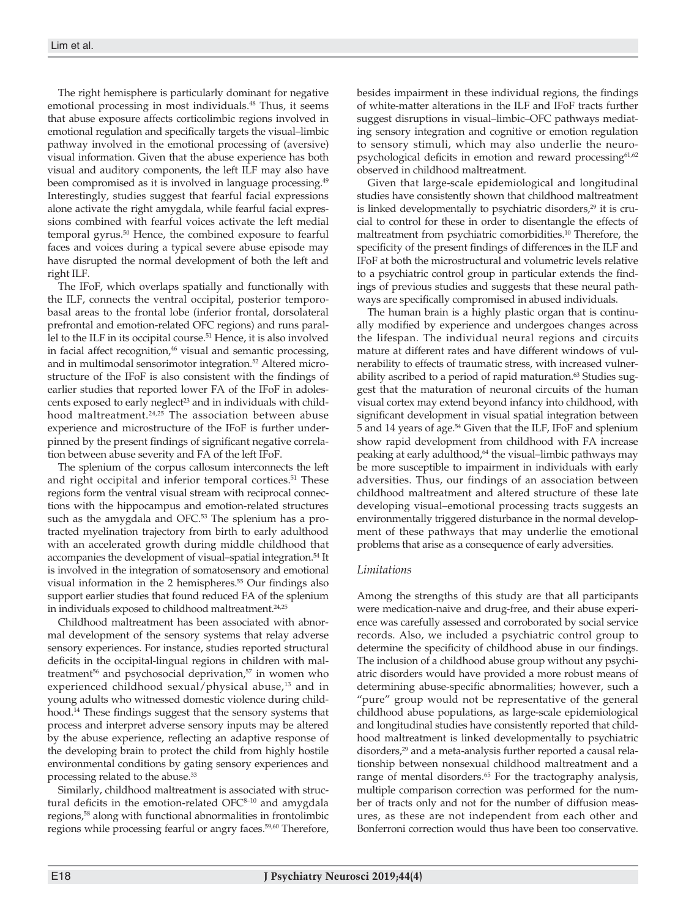The right hemisphere is particularly dominant for negative emotional processing in most individuals.<sup>48</sup> Thus, it seems that abuse exposure affects corticolimbic regions involved in emotional regulation and specifically targets the visual–limbic pathway involved in the emotional processing of (aversive) visual information. Given that the abuse experience has both visual and auditory components, the left ILF may also have been compromised as it is involved in language processing.<sup>49</sup> Interestingly, studies suggest that fearful facial expressions alone activate the right amygdala, while fearful facial expressions combined with fearful voices activate the left medial temporal gyrus.<sup>50</sup> Hence, the combined exposure to fearful faces and voices during a typical severe abuse episode may have disrupted the normal development of both the left and right ILF.

The IFoF, which overlaps spatially and functionally with the ILF, connects the ventral occipital, posterior temporobasal areas to the frontal lobe (inferior frontal, dorsolateral prefrontal and emotion-related OFC regions) and runs parallel to the ILF in its occipital course.<sup>51</sup> Hence, it is also involved in facial affect recognition,<sup>46</sup> visual and semantic processing, and in multimodal sensorimotor integration.<sup>52</sup> Altered microstructure of the IFoF is also consistent with the findings of earlier studies that reported lower FA of the IFoF in adolescents exposed to early neglect<sup>23</sup> and in individuals with childhood maltreatment.<sup>24,25</sup> The association between abuse experience and microstructure of the IFoF is further underpinned by the present findings of significant negative correlation between abuse severity and FA of the left IFoF.

The splenium of the corpus callosum interconnects the left and right occipital and inferior temporal cortices.<sup>51</sup> These regions form the ventral visual stream with reciprocal connections with the hippocampus and emotion-related structures such as the amygdala and OFC.<sup>53</sup> The splenium has a protracted myelination trajectory from birth to early adulthood with an accelerated growth during middle childhood that accompanies the development of visual–spatial integration.54 It is involved in the integration of somatosensory and emotional visual information in the 2 hemispheres.<sup>55</sup> Our findings also support earlier studies that found reduced FA of the splenium in individuals exposed to childhood maltreatment.<sup>24,25</sup>

Childhood maltreatment has been associated with abnormal development of the sensory systems that relay adverse sensory experiences. For instance, studies reported structural deficits in the occipital-lingual regions in children with maltreatment<sup>56</sup> and psychosocial deprivation,<sup>57</sup> in women who experienced childhood sexual/physical abuse,<sup>13</sup> and in young adults who witnessed domestic violence during childhood.14 These findings suggest that the sensory systems that process and interpret adverse sensory inputs may be altered by the abuse experience, reflecting an adaptive response of the developing brain to protect the child from highly hostile environmental conditions by gating sensory experiences and processing related to the abuse.<sup>33</sup>

Similarly, childhood maltreatment is associated with structural deficits in the emotion-related  $OFC<sup>8-10</sup>$  and amygdala regions,<sup>58</sup> along with functional abnormalities in frontolimbic regions while processing fearful or angry faces.59,60 Therefore, besides impairment in these individual regions, the findings of white-matter alterations in the ILF and IFoF tracts further suggest disruptions in visual–limbic–OFC pathways mediating sensory integration and cognitive or emotion regulation to sensory stimuli, which may also underlie the neuropsychological deficits in emotion and reward processing<sup>61,62</sup> observed in childhood maltreatment.

Given that large-scale epidemiological and longitudinal studies have consistently shown that childhood maltreatment is linked developmentally to psychiatric disorders,<sup>29</sup> it is crucial to control for these in order to disentangle the effects of maltreatment from psychiatric comorbidities.10 Therefore, the specificity of the present findings of differences in the ILF and IFoF at both the microstructural and volumetric levels relative to a psychiatric control group in particular extends the findings of previous studies and suggests that these neural pathways are specifically compromised in abused individuals.

The human brain is a highly plastic organ that is continually modified by experience and undergoes changes across the lifespan. The individual neural regions and circuits mature at different rates and have different windows of vulnerability to effects of traumatic stress, with increased vulnerability ascribed to a period of rapid maturation.<sup>63</sup> Studies suggest that the maturation of neuronal circuits of the human visual cortex may extend beyond infancy into childhood, with significant development in visual spatial integration between 5 and 14 years of age.54 Given that the ILF, IFoF and splenium show rapid development from childhood with FA increase peaking at early adulthood,<sup>64</sup> the visual–limbic pathways may be more susceptible to impairment in individuals with early adversities. Thus, our findings of an association between childhood maltreatment and altered structure of these late developing visual–emotional processing tracts suggests an environmentally triggered disturbance in the normal development of these pathways that may underlie the emotional problems that arise as a consequence of early adversities.

## *Limitations*

Among the strengths of this study are that all participants were medication-naive and drug-free, and their abuse experience was carefully assessed and corroborated by social service records. Also, we included a psychiatric control group to determine the specificity of childhood abuse in our findings. The inclusion of a childhood abuse group without any psychiatric disorders would have provided a more robust means of determining abuse-specific abnormalities; however, such a "pure" group would not be representative of the general childhood abuse populations, as large-scale epidemiological and longitudinal studies have consistently reported that childhood maltreatment is linked developmentally to psychiatric disorders,<sup>29</sup> and a meta-analysis further reported a causal relationship between nonsexual childhood maltreatment and a range of mental disorders.<sup>65</sup> For the tractography analysis, multiple comparison correction was performed for the number of tracts only and not for the number of diffusion measures, as these are not independent from each other and Bonferroni correction would thus have been too conservative.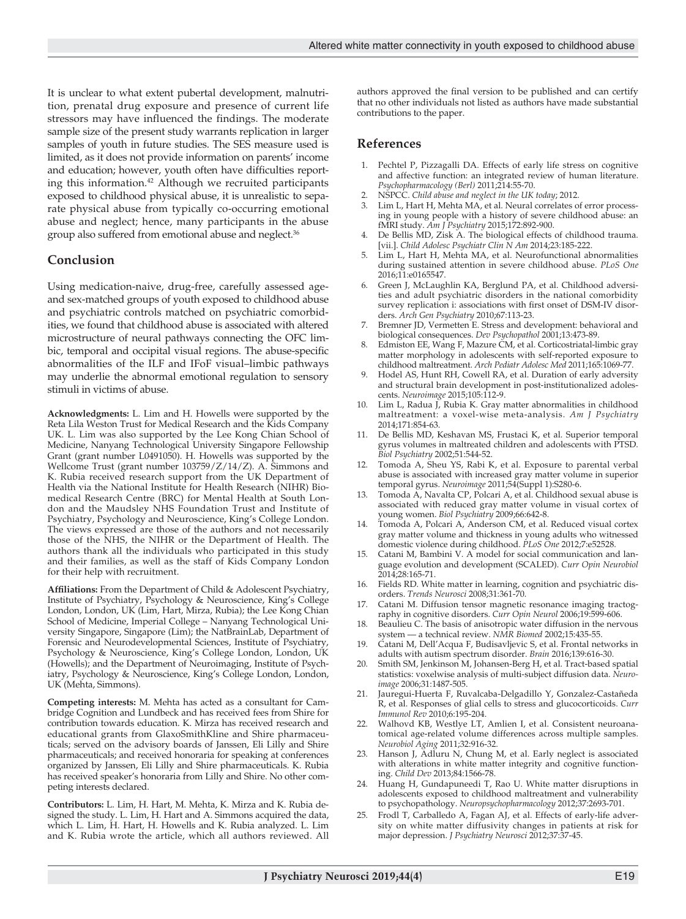It is unclear to what extent pubertal development, malnutrition, prenatal drug exposure and presence of current life stressors may have influenced the findings. The moderate sample size of the present study warrants replication in larger samples of youth in future studies. The SES measure used is limited, as it does not provide information on parents' income and education; however, youth often have difficulties reporting this information.<sup>42</sup> Although we recruited participants exposed to childhood physical abuse, it is unrealistic to separate physical abuse from typically co-occurring emotional abuse and neglect; hence, many participants in the abuse group also suffered from emotional abuse and neglect.36

## **Conclusion**

Using medication-naive, drug-free, carefully assessed ageand sex-matched groups of youth exposed to childhood abuse and psychiatric controls matched on psychiatric comorbidities, we found that childhood abuse is associated with altered microstructure of neural pathways connecting the OFC limbic, temporal and occipital visual regions. The abuse-specific abnormalities of the ILF and IFoF visual–limbic pathways may underlie the abnormal emotional regulation to sensory stimuli in victims of abuse.

**Acknowledgments:** L. Lim and H. Howells were supported by the Reta Lila Weston Trust for Medical Research and the Kids Company UK. L. Lim was also supported by the Lee Kong Chian School of Medicine, Nanyang Technological University Singapore Fellowship Grant (grant number L0491050). H. Howells was supported by the Wellcome Trust (grant number 103759/Z/14/Z). A. Simmons and K. Rubia received research support from the UK Department of Health via the National Institute for Health Research (NIHR) Biomedical Research Centre (BRC) for Mental Health at South London and the Maudsley NHS Foundation Trust and Institute of Psychiatry, Psychology and Neuroscience, King's College London. The views expressed are those of the authors and not necessarily those of the NHS, the NIHR or the Department of Health. The authors thank all the individuals who participated in this study and their families, as well as the staff of Kids Company London for their help with recruitment.

**Affiliations:** From the Department of Child & Adolescent Psychiatry, Institute of Psychiatry, Psychology & Neuroscience, King's College London, London, UK (Lim, Hart, Mirza, Rubia); the Lee Kong Chian School of Medicine, Imperial College – Nanyang Technological University Singapore, Singapore (Lim); the NatBrainLab, Department of Forensic and Neurodevelopmental Sciences, Institute of Psychiatry, Psychology & Neuroscience, King's College London, London, UK (Howells); and the Department of Neuroimaging, Institute of Psychiatry, Psychology & Neuroscience, King's College London, London, UK (Mehta, Simmons).

**Competing interests:** M. Mehta has acted as a consultant for Cambridge Cognition and Lundbeck and has received fees from Shire for contribution towards education. K. Mirza has received research and educational grants from GlaxoSmithKline and Shire pharmaceuticals; served on the advisory boards of Janssen, Eli Lilly and Shire pharmaceuticals; and received honoraria for speaking at conferences organized by Janssen, Eli Lilly and Shire pharmaceuticals. K. Rubia has received speaker's honoraria from Lilly and Shire. No other competing interests declared.

**Contributors:** L. Lim, H. Hart, M. Mehta, K. Mirza and K. Rubia designed the study. L. Lim, H. Hart and A. Simmons acquired the data, which L. Lim, H. Hart, H. Howells and K. Rubia analyzed. L. Lim and K. Rubia wrote the article, which all authors reviewed. All authors approved the final version to be published and can certify that no other individuals not listed as authors have made substantial contributions to the paper.

## **References**

- 1. Pechtel P, Pizzagalli DA. Effects of early life stress on cognitive and affective function: an integrated review of human literature. *Psychopharmacology (Berl)* 2011;214:55-70.
- 2. NSPCC. *Child abuse and neglect in the UK today*; 2012.
- Lim L, Hart H, Mehta MA, et al. Neural correlates of error processing in young people with a history of severe childhood abuse: an fMRI study. *Am J Psychiatry* 2015;172:892-900.
- De Bellis MD, Zisk A. The biological effects of childhood trauma. [vii.]. *Child Adolesc Psychiatr Clin N Am* 2014;23:185-222.
- Lim L, Hart H, Mehta MA, et al. Neurofunctional abnormalities during sustained attention in severe childhood abuse. *PLoS One* 2016;11:e0165547.
- 6. Green J, McLaughlin KA, Berglund PA, et al. Childhood adversities and adult psychiatric disorders in the national comorbidity survey replication i: associations with first onset of DSM-IV disorders. *Arch Gen Psychiatry* 2010;67:113-23.
- 7. Bremner JD, Vermetten E. Stress and development: behavioral and biological consequences. *Dev Psychopathol* 2001;13:473-89.
- 8. Edmiston EE, Wang F, Mazure CM, et al. Corticostriatal-limbic gray matter morphology in adolescents with self-reported exposure to childhood maltreatment. *Arch Pediatr Adolesc Med* 2011;165:1069-77.
- 9. Hodel AS, Hunt RH, Cowell RA, et al. Duration of early adversity and structural brain development in post-institutionalized adolescents. *Neuroimage* 2015;105:112-9.
- 10. Lim L, Radua J, Rubia K. Gray matter abnormalities in childhood maltreatment: a voxel-wise meta-analysis. *Am J Psychiatry* 2014;171:854-63.
- 11. De Bellis MD, Keshavan MS, Frustaci K, et al. Superior temporal gyrus volumes in maltreated children and adolescents with PTSD. *Biol Psychiatry* 2002;51:544-52.
- 12. Tomoda A, Sheu YS, Rabi K, et al. Exposure to parental verbal abuse is associated with increased gray matter volume in superior temporal gyrus. *Neuroimage* 2011;54(Suppl 1):S280-6.
- 13. Tomoda A, Navalta CP, Polcari A, et al. Childhood sexual abuse is associated with reduced gray matter volume in visual cortex of young women. *Biol Psychiatry* 2009;66:642-8.
- 14. Tomoda A, Polcari A, Anderson CM, et al. Reduced visual cortex gray matter volume and thickness in young adults who witnessed domestic violence during childhood. *PLoS One* 2012;7:e52528.
- Catani M, Bambini V. A model for social communication and language evolution and development (SCALED). *Curr Opin Neurobiol* 2014;28:165-71.
- 16. Fields RD. White matter in learning, cognition and psychiatric disorders. *Trends Neurosci* 2008;31:361-70.
- 17. Catani M. Diffusion tensor magnetic resonance imaging tractography in cognitive disorders. *Curr Opin Neurol* 2006;19:599-606.
- Beaulieu C. The basis of anisotropic water diffusion in the nervous system — a technical review. *NMR Biomed* 2002;15:435-55.
- 19. Catani M, Dell'Acqua F, Budisavljevic S, et al. Frontal networks in adults with autism spectrum disorder. *Brain* 2016;139:616-30.
- 20. Smith SM, Jenkinson M, Johansen-Berg H, et al. Tract-based spatial statistics: voxelwise analysis of multi-subject diffusion data. *Neuroimage* 2006;31:1487-505.
- 21. Jauregui-Huerta F, Ruvalcaba-Delgadillo Y, Gonzalez-Castañeda R, et al. Responses of glial cells to stress and glucocorticoids. *Curr Immunol Rev* 2010;6:195-204.
- 22. Walhovd KB, Westlye LT, Amlien I, et al. Consistent neuroanatomical age-related volume differences across multiple samples. *Neurobiol Aging* 2011;32:916-32.
- 23. Hanson J, Adluru N, Chung M, et al. Early neglect is associated with alterations in white matter integrity and cognitive functioning. *Child Dev* 2013;84:1566-78.
- 24. Huang H, Gundapuneedi T, Rao U. White matter disruptions in adolescents exposed to childhood maltreatment and vulnerability to psychopathology. *Neuropsychopharmacology* 2012;37:2693-701.
- 25. Frodl T, Carballedo A, Fagan AJ, et al. Effects of early-life adversity on white matter diffusivity changes in patients at risk for major depression. *J Psychiatry Neurosci* 2012;37:37-45.